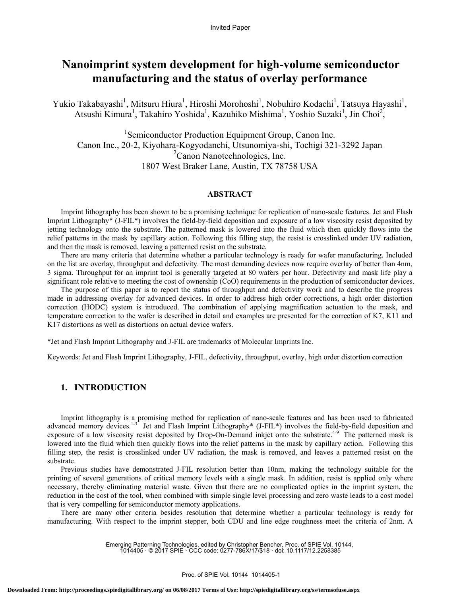# **Nanoimprint system development for high-volume semiconductor manufacturing and the status of overlay performance**

Yukio Takabayashi<sup>1</sup>, Mitsuru Hiura<sup>1</sup>, Hiroshi Morohoshi<sup>1</sup>, Nobuhiro Kodachi<sup>1</sup>, Tatsuya Hayashi<sup>1</sup>, Atsushi Kimura<sup>1</sup>, Takahiro Yoshida<sup>1</sup>, Kazuhiko Mishima<sup>1</sup>, Yoshio Suzaki<sup>1</sup>, Jin Choi<sup>2</sup>,

<sup>1</sup>Semiconductor Production Equipment Group, Canon Inc. Canon Inc., 20-2, Kiyohara-Kogyodanchi, Utsunomiya-shi, Tochigi 321-3292 Japan <sup>2</sup> Canon Nanotechnologies, Inc. 1807 West Braker Lane, Austin, TX 78758 USA

# **ABSTRACT**

Imprint lithography has been shown to be a promising technique for replication of nano-scale features. Jet and Flash Imprint Lithography\* (J-FIL\*) involves the field-by-field deposition and exposure of a low viscosity resist deposited by jetting technology onto the substrate. The patterned mask is lowered into the fluid which then quickly flows into the relief patterns in the mask by capillary action. Following this filling step, the resist is crosslinked under UV radiation, and then the mask is removed, leaving a patterned resist on the substrate.

There are many criteria that determine whether a particular technology is ready for wafer manufacturing. Included on the list are overlay, throughput and defectivity. The most demanding devices now require overlay of better than 4nm, 3 sigma. Throughput for an imprint tool is generally targeted at 80 wafers per hour. Defectivity and mask life play a significant role relative to meeting the cost of ownership (CoO) requirements in the production of semiconductor devices.

The purpose of this paper is to report the status of throughput and defectivity work and to describe the progress made in addressing overlay for advanced devices. In order to address high order corrections, a high order distortion correction (HODC) system is introduced. The combination of applying magnification actuation to the mask, and temperature correction to the wafer is described in detail and examples are presented for the correction of K7, K11 and K17 distortions as well as distortions on actual device wafers.

\*Jet and Flash Imprint Lithography and J-FIL are trademarks of Molecular Imprints Inc.

Keywords: Jet and Flash Imprint Lithography, J-FIL, defectivity, throughput, overlay, high order distortion correction

#### **1. INTRODUCTION**

Imprint lithography is a promising method for replication of nano-scale features and has been used to fabricated advanced memory devices.<sup>1-3</sup> Jet and Flash Imprint Lithography\* (J-FIL\*) involves the field-by-field deposition and exposure of a low viscosity resist deposited by Drop-On-Demand inkjet onto the substrate.<sup>4-9</sup> The patterned mask is lowered into the fluid which then quickly flows into the relief patterns in the mask by capillary action. Following this filling step, the resist is crosslinked under UV radiation, the mask is removed, and leaves a patterned resist on the substrate.

Previous studies have demonstrated J-FIL resolution better than 10nm, making the technology suitable for the printing of several generations of critical memory levels with a single mask. In addition, resist is applied only where necessary, thereby eliminating material waste. Given that there are no complicated optics in the imprint system, the reduction in the cost of the tool, when combined with simple single level processing and zero waste leads to a cost model that is very compelling for semiconductor memory applications.

There are many other criteria besides resolution that determine whether a particular technology is ready for manufacturing. With respect to the imprint stepper, both CDU and line edge roughness meet the criteria of 2nm. A

> Emerging Patterning Technologies, edited by Christopher Bencher, Proc. of SPIE Vol. 10144, 1014405 · © 2017 SPIE · CCC code: 0277-786X/17/\$18 · doi: 10.1117/12.2258385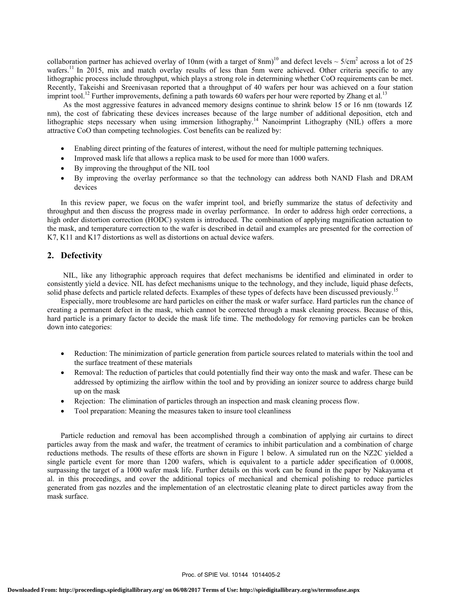collaboration partner has achieved overlay of 10nm (with a target of 8nm)<sup>10</sup> and defect levels  $\sim 5/cm^2$  across a lot of 25 wafers.<sup>11</sup> In 2015, mix and match overlay results of less than 5nm were achieved. Other criteria specific to any lithographic process include throughput, which plays a strong role in determining whether CoO requirements can be met. Recently, Takeishi and Sreenivasan reported that a throughput of 40 wafers per hour was achieved on a four station imprint tool.<sup>12</sup> Further improvements, defining a path towards 60 wafers per hour were reported by Zhang et al.<sup>13</sup>

As the most aggressive features in advanced memory designs continue to shrink below 15 or 16 nm (towards 1Z nm), the cost of fabricating these devices increases because of the large number of additional deposition, etch and lithographic steps necessary when using immersion lithography.14 Nanoimprint Lithography (NIL) offers a more attractive CoO than competing technologies. Cost benefits can be realized by:

- Enabling direct printing of the features of interest, without the need for multiple patterning techniques.
- Improved mask life that allows a replica mask to be used for more than 1000 wafers.
- By improving the throughput of the NIL tool
- By improving the overlay performance so that the technology can address both NAND Flash and DRAM devices

In this review paper, we focus on the wafer imprint tool, and briefly summarize the status of defectivity and throughput and then discuss the progress made in overlay performance. In order to address high order corrections, a high order distortion correction (HODC) system is introduced. The combination of applying magnification actuation to the mask, and temperature correction to the wafer is described in detail and examples are presented for the correction of K7, K11 and K17 distortions as well as distortions on actual device wafers.

## **2. Defectivity**

NIL, like any lithographic approach requires that defect mechanisms be identified and eliminated in order to consistently yield a device. NIL has defect mechanisms unique to the technology, and they include, liquid phase defects, solid phase defects and particle related defects. Examples of these types of defects have been discussed previously.<sup>15</sup>

Especially, more troublesome are hard particles on either the mask or wafer surface. Hard particles run the chance of creating a permanent defect in the mask, which cannot be corrected through a mask cleaning process. Because of this, hard particle is a primary factor to decide the mask life time. The methodology for removing particles can be broken down into categories:

- Reduction: The minimization of particle generation from particle sources related to materials within the tool and the surface treatment of these materials
- Removal: The reduction of particles that could potentially find their way onto the mask and wafer. These can be addressed by optimizing the airflow within the tool and by providing an ionizer source to address charge build up on the mask
- Rejection: The elimination of particles through an inspection and mask cleaning process flow.
- Tool preparation: Meaning the measures taken to insure tool cleanliness

Particle reduction and removal has been accomplished through a combination of applying air curtains to direct particles away from the mask and wafer, the treatment of ceramics to inhibit particulation and a combination of charge reductions methods. The results of these efforts are shown in Figure 1 below. A simulated run on the NZ2C yielded a single particle event for more than 1200 wafers, which is equivalent to a particle adder specification of 0.0008, surpassing the target of a 1000 wafer mask life. Further details on this work can be found in the paper by Nakayama et al. in this proceedings, and cover the additional topics of mechanical and chemical polishing to reduce particles generated from gas nozzles and the implementation of an electrostatic cleaning plate to direct particles away from the mask surface.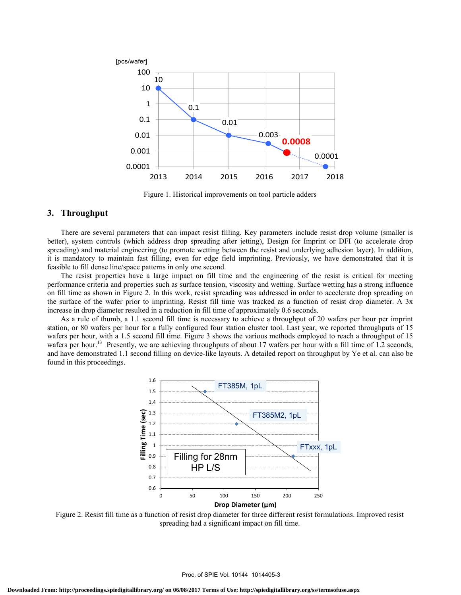

Figure 1. Historical improvements on tool particle adders

#### **3. Throughput**

There are several parameters that can impact resist filling. Key parameters include resist drop volume (smaller is better), system controls (which address drop spreading after jetting), Design for Imprint or DFI (to accelerate drop spreading) and material engineering (to promote wetting between the resist and underlying adhesion layer). In addition, it is mandatory to maintain fast filling, even for edge field imprinting. Previously, we have demonstrated that it is feasible to fill dense line/space patterns in only one second.

The resist properties have a large impact on fill time and the engineering of the resist is critical for meeting performance criteria and properties such as surface tension, viscosity and wetting. Surface wetting has a strong influence on fill time as shown in Figure 2. In this work, resist spreading was addressed in order to accelerate drop spreading on the surface of the wafer prior to imprinting. Resist fill time was tracked as a function of resist drop diameter. A 3x increase in drop diameter resulted in a reduction in fill time of approximately 0.6 seconds.

As a rule of thumb, a 1.1 second fill time is necessary to achieve a throughput of 20 wafers per hour per imprint station, or 80 wafers per hour for a fully configured four station cluster tool. Last year, we reported throughputs of 15 wafers per hour, with a 1.5 second fill time. Figure 3 shows the various methods employed to reach a throughput of 15 wafers per hour.<sup>13</sup> Presently, we are achieving throughputs of about 17 wafers per hour with a fill time of 1.2 seconds, and have demonstrated 1.1 second filling on device-like layouts. A detailed report on throughput by Ye et al. can also be found in this proceedings.



Figure 2. Resist fill time as a function of resist drop diameter for three different resist formulations. Improved resist spreading had a significant impact on fill time.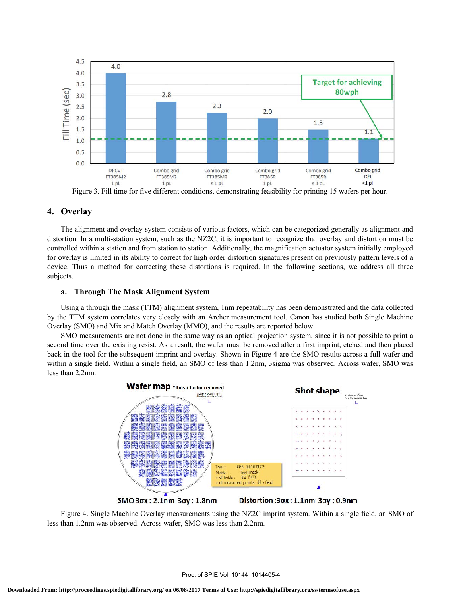

Figure 3. Fill time for five different conditions, demonstrating feasibility for printing 15 wafers per hour.

# 4. Overlav

The alignment and overlay system consists of various factors, which can be categorized generally as alignment and distortion. In a multi-station system, such as the NZ2C, it is important to recognize that overlay and distortion must be controlled within a station and from station to station. Additionally, the magnification actuator system initially employed for overlay is limited in its ability to correct for high order distortion signatures present on previously pattern levels of a device. Thus a method for correcting these distortions is required. In the following sections, we address all three subjects.

#### a. Through The Mask Alignment System

Using a through the mask (TTM) alignment system, 1nm repeatability has been demonstrated and the data collected by the TTM system correlates very closely with an Archer measurement tool. Canon has studied both Single Machine Overlay (SMO) and Mix and Match Overlay (MMO), and the results are reported below.

SMO measurements are not done in the same way as an optical projection system, since it is not possible to print a second time over the existing resist. As a result, the wafer must be removed after a first imprint, etched and then placed back in the tool for the subsequent imprint and overlay. Shown in Figure 4 are the SMO results across a full wafer and within a single field. Within a single field, an SMO of less than 1.2nm, 3sigma was observed. Across wafer, SMO was less than 2.2nm.



SMO 3σx: 2.1nm 3σy: 1.8nm

Distortion:30x: 1.1nm 30y: 0.9nm

Figure 4. Single Machine Overlay measurements using the NZ2C imprint system. Within a single field, an SMO of less than 1.2nm was observed. Across wafer, SMO was less than 2.2nm.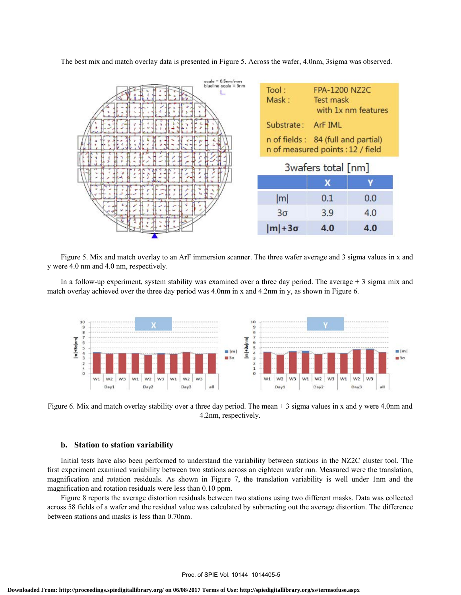| with 1x nm features<br>Substrate: ArF IML<br>n of fields: 84 (full and partial) |                    |  |
|---------------------------------------------------------------------------------|--------------------|--|
|                                                                                 |                    |  |
| n of measured points : 12 / field                                               |                    |  |
|                                                                                 | 3wafers total [nm] |  |
| X                                                                               | Y                  |  |
| 0.1<br> m                                                                       | 0.0                |  |
| 3.9<br>$3\sigma$                                                                | 4.0                |  |
| 4.0<br>$ m +3\sigma$                                                            | 4.0                |  |



Figure 6. Mix and match overlay stability over a three day period. The mean  $+3$  sigma values in x and y were 4.0nm and 4.2nm, respectively.

#### **b. Station to station variability**

Initial tests have also been performed to understand the variability between stations in the NZ2C cluster tool. The first experiment examined variability between two stations across an eighteen wafer run. Measured were the translation, magnification and rotation residuals. As shown in Figure 7, the translation variability is well under 1nm and the magnification and rotation residuals were less than 0.10 ppm.

Figure 8 reports the average distortion residuals between two stations using two different masks. Data was collected across 58 fields of a wafer and the residual value was calculated by subtracting out the average distortion. The difference between stations and masks is less than 0.70nm.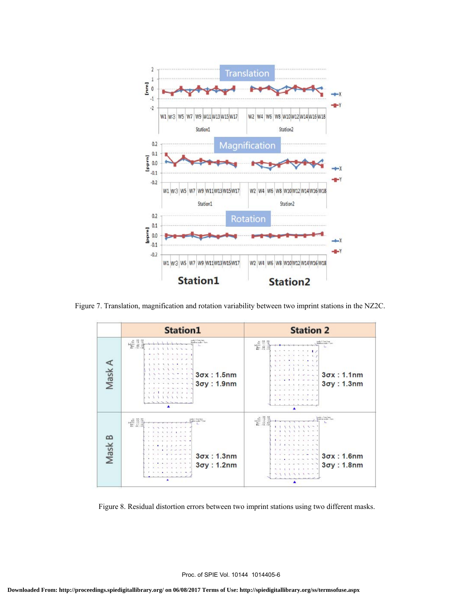

Figure 7. Translation, magnification and rotation variability between two imprint stations in the NZ2C.

|        | <b>Station1</b>                                                                                                                                                                              | <b>Station 2</b>                                                                                                                                                                                                                              |
|--------|----------------------------------------------------------------------------------------------------------------------------------------------------------------------------------------------|-----------------------------------------------------------------------------------------------------------------------------------------------------------------------------------------------------------------------------------------------|
| Mask A | $\begin{bmatrix} 0 & 0 & 0 \\ 0 & 0 & 0 \\ 0 & 0 & 0 \\ 0 & 0 & 0 \end{bmatrix}$<br>saake it Leasines<br>Hueling angle is Seen<br>$3\sigma x: 1.5$ nm<br>3 <sub>σy</sub> : 1.9 <sub>nm</sub> | $\begin{bmatrix} 0 & 0.1 & 0.0 \\ 10 & 11 & 10 \\ 0.010 & 11 & 10 \\ N_{\text{th}} & 0.1 & 1 \\ N_{\text{th}} & -1.1 & -1 \end{bmatrix}$<br>stude it has been<br><b>Hudire snale</b> is Tem<br>$3\sigma x: 1.1nm$<br>$3\sigma y: 1.3nm$       |
| Mask B | $\begin{bmatrix} 0 & 0 & 0 \\ 0 & 0 & 0 \\ 0 & 0 & 0 \\ 0 & 0 & 0 \\ 0 & 0 & 0 \end{bmatrix}$<br>sale = Iren/een<br><b>Box scule 1 Lie</b><br>$3\sigma x: 1.3nm$<br>$3\sigma y: 1.2nm$       | $\begin{bmatrix} 0.7 & 0.1 & 0.5 \\ 0.7 & 1.2 & 0.5 \\ 0.4 & 0.7 & 0.6 \\ 0.4 & 0.7 & 0.8 \\ 0.6 & 0.8 & 0.1 \\ 0.6 & 0.8 & 0.1 \\ \end{bmatrix}$<br>anders I services<br>letine user - Tom<br>$3\sigma x: 1.6$ nm<br>3 <sub>σy</sub> : 1.8nm |

Figure 8. Residual distortion errors between two imprint stations using two different masks.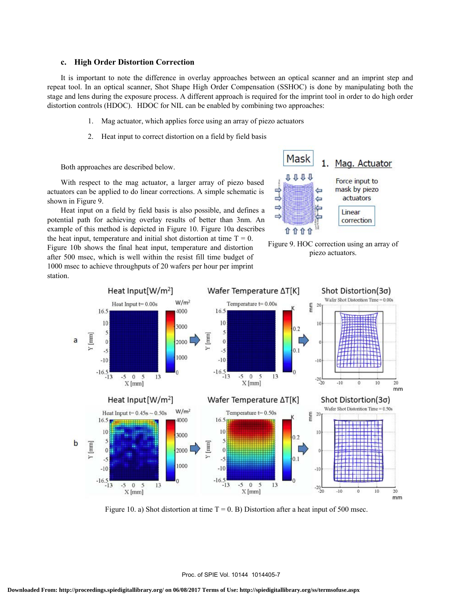#### **High Order Distortion Correction**  $c.$

It is important to note the difference in overlay approaches between an optical scanner and an imprint step and repeat tool. In an optical scanner, Shot Shape High Order Compensation (SSHOC) is done by manipulating both the stage and lens during the exposure process. A different approach is required for the imprint tool in order to do high order distortion controls (HDOC). HDOC for NIL can be enabled by combining two approaches:

- Mag actuator, which applies force using an array of piezo actuators  $1_{\cdot}$
- 2. Heat input to correct distortion on a field by field basis

Both approaches are described below.

With respect to the mag actuator, a larger array of piezo based actuators can be applied to do linear corrections. A simple schematic is shown in Figure 9.

Heat input on a field by field basis is also possible, and defines a potential path for achieving overlay results of better than 3nm. An example of this method is depicted in Figure 10. Figure 10a describes the heat input, temperature and initial shot distortion at time  $T = 0$ . Figure 10b shows the final heat input, temperature and distortion after 500 msec, which is well within the resist fill time budget of 1000 msec to achieve throughputs of 20 wafers per hour per imprint station.







Figure 10. a) Shot distortion at time  $T = 0$ . B) Distortion after a heat input of 500 msec.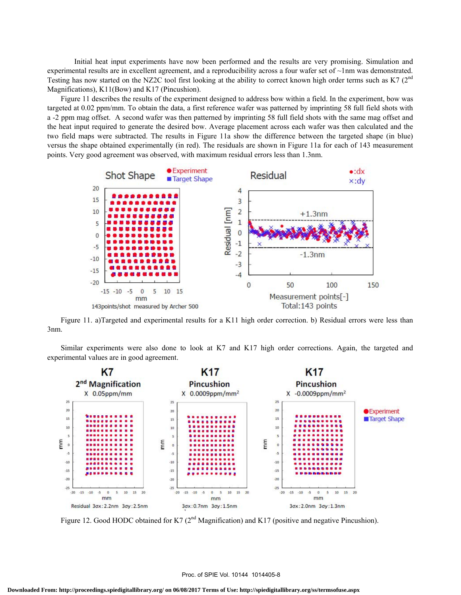Initial heat input experiments have now been performed and the results are very promising. Simulation and experimental results are in excellent agreement, and a reproducibility across a four wafer set of  $\sim$ 1nm was demonstrated. Testing has now started on the NZ2C tool first looking at the ability to correct known high order terms such as  $K7$  ( $2<sup>nd</sup>$ Magnifications), K11(Bow) and K17 (Pincushion).

Figure 11 describes the results of the experiment designed to address bow within a field. In the experiment, bow was targeted at 0.02 ppm/mm. To obtain the data, a first reference wafer was patterned by imprinting 58 full field shots with a -2 ppm mag offset. A second wafer was then patterned by imprinting 58 full field shots with the same mag offset and the heat input required to generate the desired bow. Average placement across each wafer was then calculated and the two field maps were subtracted. The results in Figure 11a show the difference between the targeted shape (in blue) versus the shape obtained experimentally (in red). The residuals are shown in Figure 11a for each of 143 measurement points. Very good agreement was observed, with maximum residual errors less than 1.3nm.



Figure 11. a)Targeted and experimental results for a K11 high order correction. b) Residual errors were less than 3nm.

Similar experiments were also done to look at K7 and K17 high order corrections. Again, the targeted and experimental values are in good agreement.



Figure 12. Good HODC obtained for K7 (2<sup>nd</sup> Magnification) and K17 (positive and negative Pincushion).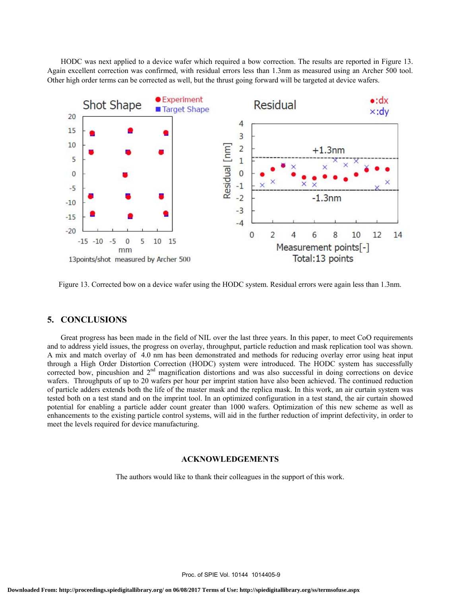HODC was next applied to a device wafer which required a bow correction. The results are reported in Figure 13. Again excellent correction was confirmed, with residual errors less than 1.3nm as measured using an Archer 500 tool. Other high order terms can be corrected as well, but the thrust going forward will be targeted at device wafers.



Figure 13. Corrected bow on a device wafer using the HODC system. Residual errors were again less than 1.3nm.

### **5. CONCLUSIONS**

Great progress has been made in the field of NIL over the last three years. In this paper, to meet CoO requirements and to address yield issues, the progress on overlay, throughput, particle reduction and mask replication tool was shown. A mix and match overlay of 4.0 nm has been demonstrated and methods for reducing overlay error using heat input through a High Order Distortion Correction (HODC) system were introduced. The HODC system has successfully corrected bow, pincushion and 2<sup>nd</sup> magnification distortions and was also successful in doing corrections on device wafers. Throughputs of up to 20 wafers per hour per imprint station have also been achieved. The continued reduction of particle adders extends both the life of the master mask and the replica mask. In this work, an air curtain system was tested both on a test stand and on the imprint tool. In an optimized configuration in a test stand, the air curtain showed potential for enabling a particle adder count greater than 1000 wafers. Optimization of this new scheme as well as enhancements to the existing particle control systems, will aid in the further reduction of imprint defectivity, in order to meet the levels required for device manufacturing.

#### **ACKNOWLEDGEMENTS**

The authors would like to thank their colleagues in the support of this work.